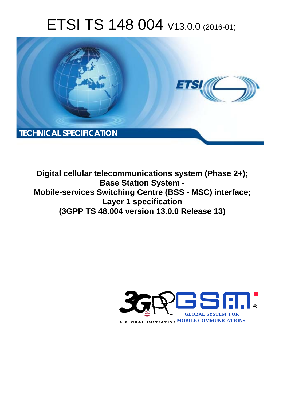# ETSI TS 148 004 V13.0.0 (2016-01)



Digital cellular telecommunications system (Phase 2+); **Base Station System -**Mobile-services Switching Centre (BSS - MSC) interface; Layer 1 specification (3GPP TS 48.004 version 13.0.0 Release 13)

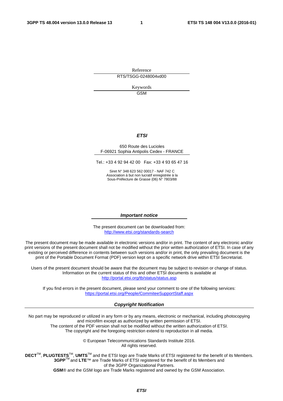Reference RTS/TSGG-0248004vd00

> Keywords GSM

### *ETSI*

#### 650 Route des Lucioles F-06921 Sophia Antipolis Cedex - FRANCE

Tel.: +33 4 92 94 42 00 Fax: +33 4 93 65 47 16

Siret N° 348 623 562 00017 - NAF 742 C Association à but non lucratif enregistrée à la Sous-Préfecture de Grasse (06) N° 7803/88

#### *Important notice*

The present document can be downloaded from: <http://www.etsi.org/standards-search>

The present document may be made available in electronic versions and/or in print. The content of any electronic and/or print versions of the present document shall not be modified without the prior written authorization of ETSI. In case of any existing or perceived difference in contents between such versions and/or in print, the only prevailing document is the print of the Portable Document Format (PDF) version kept on a specific network drive within ETSI Secretariat.

Users of the present document should be aware that the document may be subject to revision or change of status. Information on the current status of this and other ETSI documents is available at <http://portal.etsi.org/tb/status/status.asp>

If you find errors in the present document, please send your comment to one of the following services: <https://portal.etsi.org/People/CommiteeSupportStaff.aspx>

#### *Copyright Notification*

No part may be reproduced or utilized in any form or by any means, electronic or mechanical, including photocopying and microfilm except as authorized by written permission of ETSI.

The content of the PDF version shall not be modified without the written authorization of ETSI. The copyright and the foregoing restriction extend to reproduction in all media.

> © European Telecommunications Standards Institute 2016. All rights reserved.

**DECT**TM, **PLUGTESTS**TM, **UMTS**TM and the ETSI logo are Trade Marks of ETSI registered for the benefit of its Members. **3GPP**TM and **LTE**™ are Trade Marks of ETSI registered for the benefit of its Members and of the 3GPP Organizational Partners.

**GSM**® and the GSM logo are Trade Marks registered and owned by the GSM Association.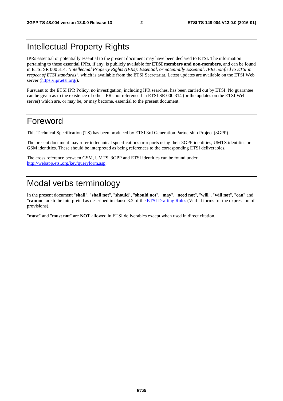# Intellectual Property Rights

IPRs essential or potentially essential to the present document may have been declared to ETSI. The information pertaining to these essential IPRs, if any, is publicly available for **ETSI members and non-members**, and can be found in ETSI SR 000 314: *"Intellectual Property Rights (IPRs); Essential, or potentially Essential, IPRs notified to ETSI in respect of ETSI standards"*, which is available from the ETSI Secretariat. Latest updates are available on the ETSI Web server [\(https://ipr.etsi.org/](https://ipr.etsi.org/)).

Pursuant to the ETSI IPR Policy, no investigation, including IPR searches, has been carried out by ETSI. No guarantee can be given as to the existence of other IPRs not referenced in ETSI SR 000 314 (or the updates on the ETSI Web server) which are, or may be, or may become, essential to the present document.

### Foreword

This Technical Specification (TS) has been produced by ETSI 3rd Generation Partnership Project (3GPP).

The present document may refer to technical specifications or reports using their 3GPP identities, UMTS identities or GSM identities. These should be interpreted as being references to the corresponding ETSI deliverables.

The cross reference between GSM, UMTS, 3GPP and ETSI identities can be found under [http://webapp.etsi.org/key/queryform.asp.](http://webapp.etsi.org/key/queryform.asp)

# Modal verbs terminology

In the present document "**shall**", "**shall not**", "**should**", "**should not**", "**may**", "**need not**", "**will**", "**will not**", "**can**" and "**cannot**" are to be interpreted as described in clause 3.2 of the [ETSI Drafting Rules](http://portal.etsi.org/Help/editHelp!/Howtostart/ETSIDraftingRules.aspx) (Verbal forms for the expression of provisions).

"**must**" and "**must not**" are **NOT** allowed in ETSI deliverables except when used in direct citation.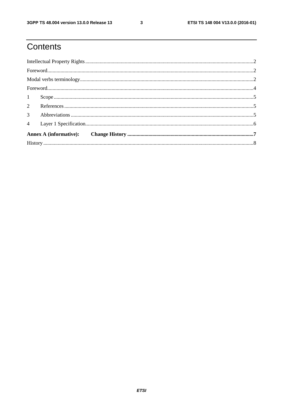# Contents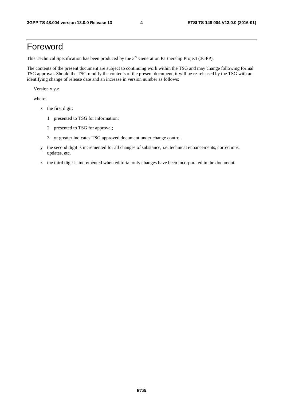## Foreword

This Technical Specification has been produced by the 3<sup>rd</sup> Generation Partnership Project (3GPP).

The contents of the present document are subject to continuing work within the TSG and may change following formal TSG approval. Should the TSG modify the contents of the present document, it will be re-released by the TSG with an identifying change of release date and an increase in version number as follows:

Version x.y.z

where:

- x the first digit:
	- 1 presented to TSG for information;
	- 2 presented to TSG for approval;
	- 3 or greater indicates TSG approved document under change control.
- y the second digit is incremented for all changes of substance, i.e. technical enhancements, corrections, updates, etc.
- z the third digit is incremented when editorial only changes have been incorporated in the document.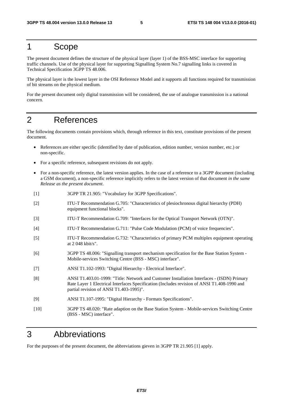### 1 Scope

The present document defines the structure of the physical layer (layer 1) of the BSS-MSC interface for supporting traffic channels. Use of the physical layer for supporting Signalling System No.7 signalling links is covered in Technical Specification 3GPP TS 48.006.

The physical layer is the lowest layer in the OSI Reference Model and it supports all functions required for transmission of bit streams on the physical medium.

For the present document only digital transmission will be considered, the use of analogue transmission is a national concern.

### 2 References

The following documents contain provisions which, through reference in this text, constitute provisions of the present document.

- References are either specific (identified by date of publication, edition number, version number, etc.) or non-specific.
- For a specific reference, subsequent revisions do not apply.
- For a non-specific reference, the latest version applies. In the case of a reference to a 3GPP document (including a GSM document), a non-specific reference implicitly refers to the latest version of that document *in the same Release as the present document*.
- [1] 3GPP TR 21.905: "Vocabulary for 3GPP Specifications".
- [2] ITU-T Recommendation G.705: "Characteristics of plesiochronous digital hierarchy (PDH) equipment functional blocks".
- [3] ITU-T Recommendation G.709: "Interfaces for the Optical Transport Network (OTN)".
- [4] ITU-T Recommendation G.711: "Pulse Code Modulation (PCM) of voice frequencies".
- [5] ITU-T Recommendation G.732: "Characteristics of primary PCM multiplex equipment operating at 2 048 kbit/s".
- [6] 3GPP TS 48.006: "Signalling transport mechanism specification for the Base Station System Mobile-services Switching Centre (BSS - MSC) interface".
- [7] ANSI T1.102-1993: "Digital Hierarchy Electrical Interface".
- [8] ANSI T1.403.01-1999: "Title: Network and Customer Installation Interfaces (ISDN) Primary Rate Layer 1 Electrical Interfaces Specification (Includes revision of ANSI T1.408-1990 and partial revision of ANSI T1.403-1995)".
- [9] ANSI T1.107-1995: "Digital Hierarchy Formats Specifications".
- [10] 3GPP TS 48.020: "Rate adaption on the Base Station System Mobile-services Switching Centre (BSS - MSC) interface".

# 3 Abbreviations

For the purposes of the present document, the abbreviations gieven in 3GPP TR 21.905 [1] apply.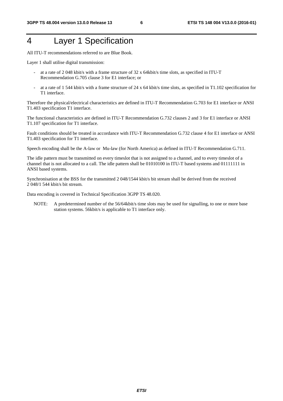# 4 Layer 1 Specification

All ITU-T recommendations referred to are Blue Book.

Layer 1 shall utilise digital transmission:

- at a rate of 2 048 kbit/s with a frame structure of 32 x 64kbit/s time slots, as specified in ITU-T Recommendation G.705 clause 3 for E1 interface; or
- at a rate of 1 544 kbit/s with a frame structure of 24 x 64 kbit/s time slots, as specified in T1.102 specification for T1 interface.

Therefore the physical/electrical characteristics are defined in ITU-T Recommendation G.703 for E1 interface or ANSI T1.403 specification T1 interface.

The functional characteristics are defined in ITU-T Recommendation G.732 clauses 2 and 3 for E1 interface or ANSI T1.107 specification for T1 interface.

Fault conditions should be treated in accordance with ITU-T Recommendation G.732 clause 4 for E1 interface or ANSI T1.403 specification for T1 interface.

Speech encoding shall be the A-law or Mu-law (for North America) as defined in ITU-T Recommendation G.711.

The idle pattern must be transmitted on every timeslot that is not assigned to a channel, and to every timeslot of a channel that is not allocated to a call. The idle pattern shall be 01010100 in ITU-T based systems and 01111111 in ANSI based systems.

Synchronisation at the BSS for the transmitted 2 048/1544 kbit/s bit stream shall be derived from the received 2 048/1 544 kbit/s bit stream.

Data encoding is covered in Technical Specification 3GPP TS 48.020.

NOTE: A predetermined number of the 56/64kbit/s time slots may be used for signalling, to one or more base station systems. 56kbit/s is applicable to T1 interface only.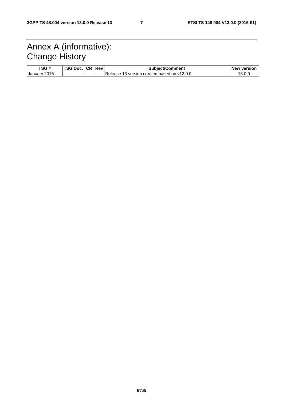# Annex A (informative): Change History

| TSG#            | TCAB22<br>DOC.<br>эu | CR | Rev                      | <b>Subject/Comment</b>                           | <sup>,</sup> version<br><b>New</b> |
|-----------------|----------------------|----|--------------------------|--------------------------------------------------|------------------------------------|
| 2016<br>January |                      |    | $\overline{\phantom{0}}$ | l on v12.0.0<br>version created based<br>Release |                                    |